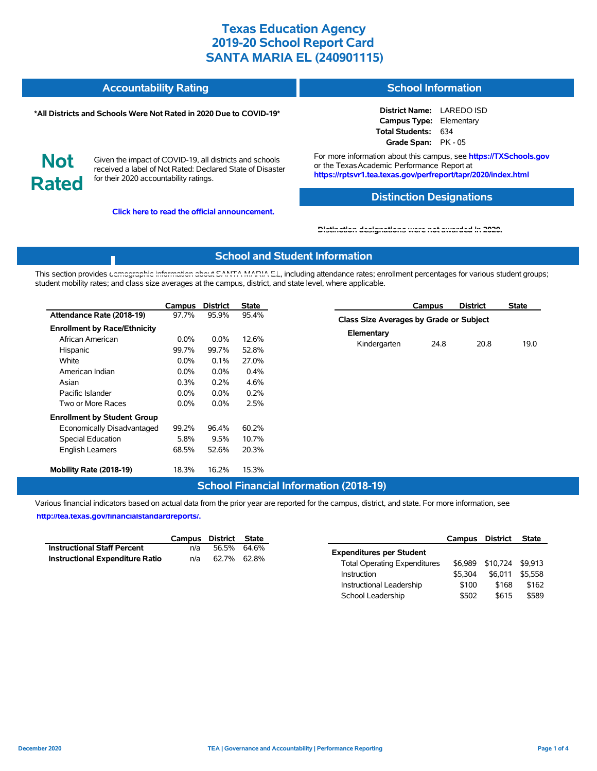| Accountability Rating | <b>School Information</b> |
|-----------------------|---------------------------|
|                       |                           |

#### **\*All Districts and Schools Were Not Rated in 2020 Due to COVID-19\***

**District Name:** LAREDO ISD **Campus Type:** Elementary **Total Students:** 634 **Grade Span:** PK - 05

**Not Rated**

Given the impact of COVID-19, all districts and schools received a label of Not Rated: Declared State of Disaster for their 2020 accountability ratings.

**Click here to read the official announcement.**

For more information about this campus, see **https://TXSchools.gov** or the Texas Academic Performance Report at **https://rptsvr1.tea.texas.gov/perfreport/tapr/2020/index.html**

#### **Distinction Designations**

Instructional Leadership  $$100$  \$168 \$162 School Leadership  $$502$  \$615 \$589

**[Distinction designations were not awarded in 2020.](https://rptsvr1.tea.texas.gov/perfreport/tapr/2020/index.html)**

### **School and Student Information**

This section provides [demographic information about SANTA MARIA E](https://tea.texas.gov/about-tea/news-and-multimedia/correspondence/taa-letters/every-student-succeeds-act-essa-waiver-approval-2020-state-academic-accountability)L, including attendance rates; enrollment percentages for various student groups; student mobility rates; and class size averages at the campus, district, and state level, where applicable.

|                                     | <b>Campus</b> | <b>District</b> | <b>State</b> | <b>District</b><br><b>State</b><br>Campus |
|-------------------------------------|---------------|-----------------|--------------|-------------------------------------------|
| Attendance Rate (2018-19)           | 97.7%         | 95.9%           | 95.4%        | Class Size Averages by Grade or Subject   |
| <b>Enrollment by Race/Ethnicity</b> |               |                 | Elementary   |                                           |
| African American                    | $0.0\%$       | $0.0\%$         | 12.6%        | 19.0<br>Kindergarten<br>24.8<br>20.8      |
| Hispanic                            | 99.7%         | 99.7%           | 52.8%        |                                           |
| White                               | $0.0\%$       | 0.1%            | 27.0%        |                                           |
| American Indian                     | $0.0\%$       | 0.0%            | 0.4%         |                                           |
| Asian                               | 0.3%          | 0.2%            | 4.6%         |                                           |
| Pacific Islander                    | $0.0\%$       | 0.0%            | 0.2%         |                                           |
| Two or More Races                   | $0.0\%$       | 0.0%            | 2.5%         |                                           |
| <b>Enrollment by Student Group</b>  |               |                 |              |                                           |
| Economically Disadvantaged          | 99.2%         | 96.4%           | 60.2%        |                                           |
| Special Education                   | 5.8%          | 9.5%            | 10.7%        |                                           |
| <b>English Learners</b>             | 68.5%         | 52.6%           | 20.3%        |                                           |
| Mobility Rate (2018-19)             | 18.3%         | 16.2%           | 15.3%        |                                           |

#### **School Financial Information (2018-19)**

Various financial indicators based on actual data from the prior year are reported for the campus, district, and state. For more information, see

**[http://tea.texas.gov/financialstandardreports/.](http://tea.texas.gov/financialstandardreports/)**

|                                        | Campus | District State |             | Campus                              | District                 | <b>State</b> |
|----------------------------------------|--------|----------------|-------------|-------------------------------------|--------------------------|--------------|
| <b>Instructional Staff Percent</b>     | n/a    |                | 56.5% 64.6% | <b>Expenditures per Student</b>     |                          |              |
| <b>Instructional Expenditure Ratio</b> | n/a    | 62.7% 62.8%    |             | <b>Total Operating Expenditures</b> | \$6,989 \$10,724 \$9,913 |              |
|                                        |        |                |             | \$5.304<br>Instruction              | \$6,011                  | \$5,558      |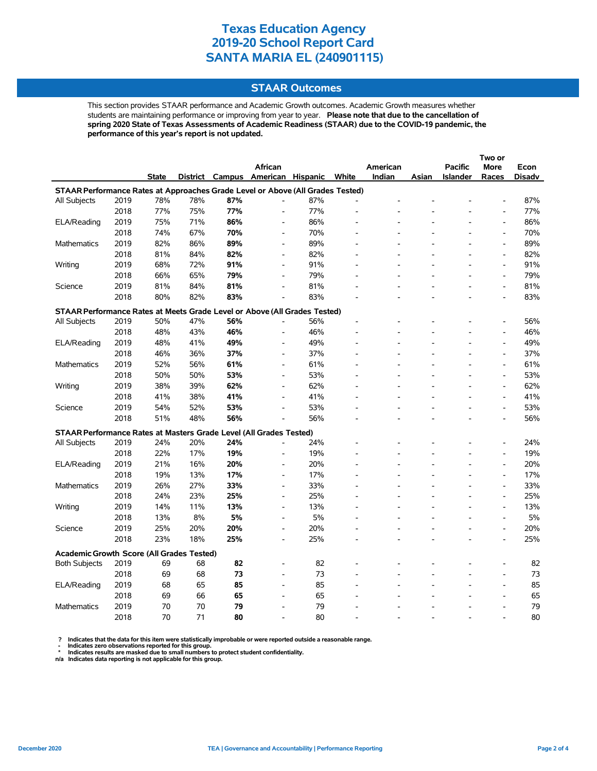#### **STAAR Outcomes**

This section provides STAAR performance and Academic Growth outcomes. Academic Growth measures whether students are maintaining performance or improving from year to year. **Please note that due to the cancellation of spring 2020 State of Texas Assessments of Academic Readiness (STAAR) due to the COVID-19 pandemic, the performance of this year's report is not updated.**

|                                                                                |      |              |     |     |                                   |     |       |          |       |                 | Two or                       |        |
|--------------------------------------------------------------------------------|------|--------------|-----|-----|-----------------------------------|-----|-------|----------|-------|-----------------|------------------------------|--------|
|                                                                                |      |              |     |     | <b>African</b>                    |     |       | American |       | <b>Pacific</b>  | <b>More</b>                  | Econ   |
|                                                                                |      | <b>State</b> |     |     | District Campus American Hispanic |     | White | Indian   | Asian | <b>Islander</b> | Races                        | Disadv |
| STAAR Performance Rates at Approaches Grade Level or Above (All Grades Tested) |      |              |     |     |                                   |     |       |          |       |                 |                              |        |
| All Subjects                                                                   | 2019 | 78%          | 78% | 87% | L,                                | 87% |       |          |       |                 |                              | 87%    |
|                                                                                | 2018 | 77%          | 75% | 77% | L,                                | 77% |       |          |       |                 | $\overline{a}$               | 77%    |
| ELA/Reading                                                                    | 2019 | 75%          | 71% | 86% | $\overline{\phantom{a}}$          | 86% |       |          |       |                 | $\overline{a}$               | 86%    |
|                                                                                | 2018 | 74%          | 67% | 70% | $\overline{\phantom{a}}$          | 70% |       |          |       |                 | $\overline{a}$               | 70%    |
| <b>Mathematics</b>                                                             | 2019 | 82%          | 86% | 89% | $\overline{\phantom{a}}$          | 89% |       |          |       |                 | $\qquad \qquad \blacksquare$ | 89%    |
|                                                                                | 2018 | 81%          | 84% | 82% | $\overline{\phantom{a}}$          | 82% |       |          |       |                 | $\overline{a}$               | 82%    |
| Writing                                                                        | 2019 | 68%          | 72% | 91% | $\qquad \qquad \blacksquare$      | 91% |       |          |       |                 | $\qquad \qquad \blacksquare$ | 91%    |
|                                                                                | 2018 | 66%          | 65% | 79% | $\overline{a}$                    | 79% |       |          |       |                 | $\qquad \qquad \blacksquare$ | 79%    |
| Science                                                                        | 2019 | 81%          | 84% | 81% | $\overline{a}$                    | 81% |       |          |       |                 | $\qquad \qquad \blacksquare$ | 81%    |
|                                                                                | 2018 | 80%          | 82% | 83% |                                   | 83% |       |          |       |                 | $\overline{a}$               | 83%    |
| STAAR Performance Rates at Meets Grade Level or Above (All Grades Tested)      |      |              |     |     |                                   |     |       |          |       |                 |                              |        |
| All Subjects                                                                   | 2019 | 50%          | 47% | 56% |                                   | 56% |       |          |       |                 | $\overline{\phantom{a}}$     | 56%    |
|                                                                                | 2018 | 48%          | 43% | 46% | $\overline{a}$                    | 46% |       |          |       |                 | $\overline{\phantom{a}}$     | 46%    |
| ELA/Reading                                                                    | 2019 | 48%          | 41% | 49% | $\overline{a}$                    | 49% |       |          |       |                 | $\overline{\phantom{a}}$     | 49%    |
|                                                                                | 2018 | 46%          | 36% | 37% | $\overline{\phantom{a}}$          | 37% |       |          |       |                 | $\overline{\phantom{a}}$     | 37%    |
| Mathematics                                                                    | 2019 | 52%          | 56% | 61% | $\overline{\phantom{a}}$          | 61% |       |          |       |                 | $\qquad \qquad \blacksquare$ | 61%    |
|                                                                                | 2018 | 50%          | 50% | 53% | $\overline{\phantom{0}}$          | 53% |       |          |       |                 | $\qquad \qquad \blacksquare$ | 53%    |
| Writing                                                                        | 2019 | 38%          | 39% | 62% | $\overline{a}$                    | 62% |       |          |       |                 | $\overline{a}$               | 62%    |
|                                                                                | 2018 | 41%          | 38% | 41% | $\overline{a}$                    | 41% |       |          |       |                 | $\overline{a}$               | 41%    |
| Science                                                                        | 2019 | 54%          | 52% | 53% | $\overline{a}$                    | 53% |       |          |       |                 | $\overline{a}$               | 53%    |
|                                                                                | 2018 | 51%          | 48% | 56% | $\overline{a}$                    | 56% |       |          |       |                 | $\overline{a}$               | 56%    |
| STAAR Performance Rates at Masters Grade Level (All Grades Tested)             |      |              |     |     |                                   |     |       |          |       |                 |                              |        |
| All Subjects                                                                   | 2019 | 24%          | 20% | 24% | $\overline{a}$                    | 24% |       |          |       |                 | $\overline{\phantom{a}}$     | 24%    |
|                                                                                | 2018 | 22%          | 17% | 19% | $\qquad \qquad \blacksquare$      | 19% |       |          |       |                 | $\qquad \qquad \blacksquare$ | 19%    |
| ELA/Reading                                                                    | 2019 | 21%          | 16% | 20% | $\overline{a}$                    | 20% |       |          |       |                 | $\qquad \qquad \blacksquare$ | 20%    |
|                                                                                | 2018 | 19%          | 13% | 17% | $\overline{a}$                    | 17% |       |          |       |                 | $\qquad \qquad \blacksquare$ | 17%    |
| <b>Mathematics</b>                                                             | 2019 | 26%          | 27% | 33% | $\overline{a}$                    | 33% |       |          |       |                 | $\overline{a}$               | 33%    |
|                                                                                | 2018 | 24%          | 23% | 25% | $\overline{a}$                    | 25% |       |          |       |                 | $\overline{a}$               | 25%    |
| Writing                                                                        | 2019 | 14%          | 11% | 13% | $\qquad \qquad \blacksquare$      | 13% |       |          |       |                 | $\qquad \qquad \blacksquare$ | 13%    |
|                                                                                | 2018 | 13%          | 8%  | 5%  | $\overline{a}$                    | 5%  |       |          |       |                 | $\overline{a}$               | 5%     |
| Science                                                                        | 2019 | 25%          | 20% | 20% | $\overline{a}$                    | 20% |       |          |       |                 | $\qquad \qquad \blacksquare$ | 20%    |
|                                                                                | 2018 | 23%          | 18% | 25% | $\overline{a}$                    | 25% |       |          |       |                 | $\overline{a}$               | 25%    |
| <b>Academic Growth Score (All Grades Tested)</b>                               |      |              |     |     |                                   |     |       |          |       |                 |                              |        |
| <b>Both Subjects</b>                                                           | 2019 | 69           | 68  | 82  |                                   | 82  |       |          |       |                 | $\overline{a}$               | 82     |
|                                                                                | 2018 | 69           | 68  | 73  |                                   | 73  |       |          |       |                 |                              | 73     |
| ELA/Reading                                                                    | 2019 | 68           | 65  | 85  |                                   | 85  |       |          |       |                 | $\overline{a}$               | 85     |
|                                                                                | 2018 | 69           | 66  | 65  |                                   | 65  |       |          |       |                 |                              | 65     |
| <b>Mathematics</b>                                                             | 2019 | 70           | 70  | 79  | $\blacksquare$                    | 79  |       |          |       |                 | Ĭ.                           | 79     |
|                                                                                | 2018 | 70           | 71  | 80  |                                   | 80  |       |          |       |                 | $\overline{a}$               | 80     |

? Indicates that the data for this item were statistically improbable or were reported outside a reasonable range.<br>- Indicates zero observations reported for this group.<br>\* Indicates results are masked due to small numbers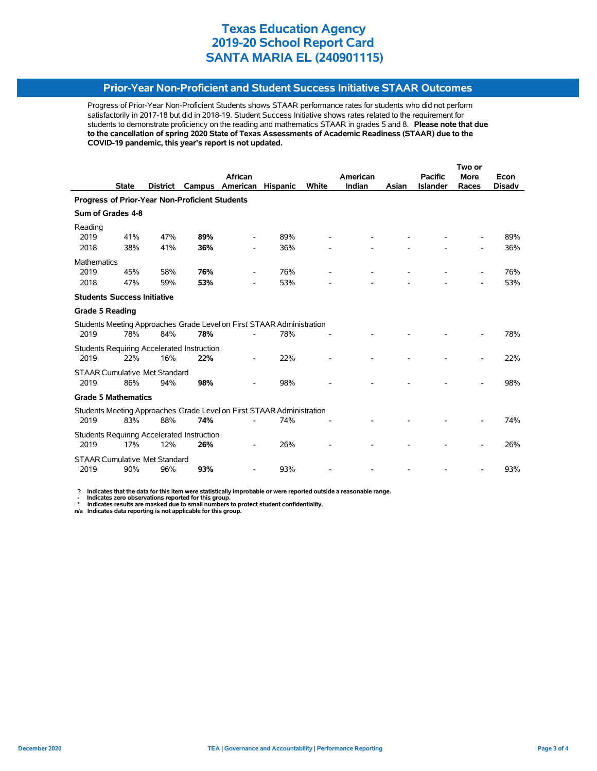### **Prior-Year Non-Proficient and Student Success Initiative STAAR Outcomes**

Progress of Prior-Year Non-Proficient Students shows STAAR performance rates for students who did not perform satisfactorily in 2017-18 but did in 2018-19. Student Success Initiative shows rates related to the requirement for students to demonstrate proficiency on the reading and mathematics STAAR in grades 5 and 8. **Please note that due to the cancellation of spring 2020 State of Texas Assessments of Academic Readiness (STAAR) due to the COVID-19 pandemic, this year's report is not updated.**

|                                                                       |              |                 |                                                   |                                                                       |                 |              |          |       | Two or          |             |               |  |
|-----------------------------------------------------------------------|--------------|-----------------|---------------------------------------------------|-----------------------------------------------------------------------|-----------------|--------------|----------|-------|-----------------|-------------|---------------|--|
|                                                                       |              |                 |                                                   | <b>African</b>                                                        |                 |              | American |       | <b>Pacific</b>  | <b>More</b> | Econ          |  |
|                                                                       | <b>State</b> | <b>District</b> | Campus                                            | American                                                              | <b>Hispanic</b> | <b>White</b> | Indian   | Asian | <b>Islander</b> | Races       | <b>Disadv</b> |  |
| <b>Progress of Prior-Year Non-Proficient Students</b>                 |              |                 |                                                   |                                                                       |                 |              |          |       |                 |             |               |  |
| Sum of Grades 4-8                                                     |              |                 |                                                   |                                                                       |                 |              |          |       |                 |             |               |  |
| Reading                                                               |              |                 |                                                   |                                                                       |                 |              |          |       |                 |             |               |  |
| 2019                                                                  | 41%          | 47%             | 89%                                               |                                                                       | 89%             |              |          |       |                 |             | 89%           |  |
| 2018                                                                  | 38%          | 41%             | 36%                                               |                                                                       | 36%             |              |          |       |                 |             | 36%           |  |
| <b>Mathematics</b>                                                    |              |                 |                                                   |                                                                       |                 |              |          |       |                 |             |               |  |
| 2019                                                                  | 45%          | 58%             | 76%                                               |                                                                       | 76%             |              |          |       |                 |             | 76%           |  |
| 2018                                                                  | 47%          | 59%             | 53%                                               | ۰                                                                     | 53%             |              |          |       |                 |             | 53%           |  |
| <b>Students Success Initiative</b>                                    |              |                 |                                                   |                                                                       |                 |              |          |       |                 |             |               |  |
| <b>Grade 5 Reading</b>                                                |              |                 |                                                   |                                                                       |                 |              |          |       |                 |             |               |  |
|                                                                       |              |                 |                                                   | Students Meeting Approaches Grade Level on First STAAR Administration |                 |              |          |       |                 |             |               |  |
| 2019                                                                  | 78%          | 84%             | 78%                                               |                                                                       | 78%             |              |          |       |                 |             | 78%           |  |
|                                                                       |              |                 | Students Requiring Accelerated Instruction        |                                                                       |                 |              |          |       |                 |             |               |  |
| 2019                                                                  | 22%          | 16%             | 22%                                               |                                                                       | 22%             |              |          |       |                 |             | 22%           |  |
| <b>STAAR Cumulative Met Standard</b>                                  |              |                 |                                                   |                                                                       |                 |              |          |       |                 |             |               |  |
| 2019                                                                  | 86%          | 94%             | 98%                                               |                                                                       | 98%             |              |          |       |                 |             | 98%           |  |
| <b>Grade 5 Mathematics</b>                                            |              |                 |                                                   |                                                                       |                 |              |          |       |                 |             |               |  |
| Students Meeting Approaches Grade Level on First STAAR Administration |              |                 |                                                   |                                                                       |                 |              |          |       |                 |             |               |  |
| 2019                                                                  | 83%          | 88%             | 74%                                               |                                                                       | 74%             |              |          |       |                 |             | 74%           |  |
|                                                                       |              |                 | <b>Students Requiring Accelerated Instruction</b> |                                                                       |                 |              |          |       |                 |             |               |  |
| 2019                                                                  | 17%          | 12%             | 26%                                               |                                                                       | 26%             |              |          |       |                 |             | 26%           |  |
| <b>STAAR Cumulative Met Standard</b>                                  |              |                 |                                                   |                                                                       |                 |              |          |       |                 |             |               |  |
| 2019                                                                  | 90%          | 96%             | 93%                                               |                                                                       | 93%             |              |          |       |                 |             | 93%           |  |
|                                                                       |              |                 |                                                   |                                                                       |                 |              |          |       |                 |             |               |  |

 **? Indicates that the data for this item were statistically improbable or were reported outside a reasonable range.**

 **- Indicates zero observations reported for this group. \* Indicates results are masked due to small numbers to protect student confidentiality.**

**n/a Indicates data reporting is not applicable for this group.**